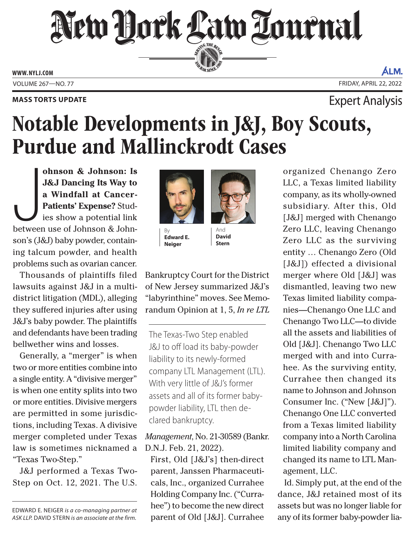## New Hork Law Lournal SERVING THE BEN

**ED BAR SINCE 188** 

**WWW. NYLJ.COM**

ÁLM. VOLUME 267—NO. 77 FRIDAY, APRIL 22, 2022

### **MASS TORTS UPDATE EXPERIMENT STATES AND THE EXPETT ANALYSIS**

### Notable Developments in J&J, Boy Scouts, Purdue and Mallinckrodt Cases

June 10 and 10 and 10 and 10 and 10 and 10 and 10 and 10 and 10 and 10 and 10 and 10 and 10 and 10 and 10 and 10 and 10 and 10 and 10 and 10 and 10 and 10 and 10 and 10 and 10 and 10 and 10 and 10 and 10 and 10 and 10 and **ohnson & Johnson: Is J&J Dancing Its Way to a Windfall at Cancer-Patients' Expense?** Studies show a potential link between use of Johnson & Johnson's (J&J) baby powder, containing talcum powder, and health problems such as ovarian cancer.

Thousands of plaintiffs filed lawsuits against J&J in a multidistrict litigation (MDL), alleging they suffered injuries after using J&J's baby powder. The plaintiffs and defendants have been trading bellwether wins and losses.

Generally, a "merger" is when two or more entities combine into a single entity. A "divisive merger" is when one entity splits into two or more entities. Divisive mergers are permitted in some jurisdictions, including Texas. A divisive merger completed under Texas law is sometimes nicknamed a "Texas Two-Step."

J&J performed a Texas Two-Step on Oct. 12, 2021. The U.S.

EDWARD E. NEIGER *is a co-managing partner at ASK LLP.* DAVID STERN *is an associate at the firm.*



**Edward E. Neiger**



**David Stern**

Bankruptcy Court for the District of New Jersey summarized J&J's "labyrinthine" moves. See Memorandum Opinion at 1, 5, *In re LTL* 

The Texas-Two Step enabled J&J to off load its baby-powder liability to its newly-formed company LTL Management (LTL). With very little of J&J's former assets and all of its former babypowder liability, LTL then declared bankruptcy.

*Management*, No. 21-30589 (Bankr. D.N.J. Feb. 21, 2022).

First, Old [J&J's] then-direct parent, Janssen Pharmaceuticals, Inc., organized Currahee Holding Company Inc. ("Currahee") to become the new direct parent of Old [J&J]. Currahee

organized Chenango Zero LLC, a Texas limited liability company, as its wholly-owned subsidiary. After this, Old [J&J] merged with Chenango Zero LLC, leaving Chenango Zero LLC as the surviving entity … Chenango Zero (Old [J&J]) effected a divisional merger where Old [J&J] was dismantled, leaving two new Texas limited liability companies—Chenango One LLC and Chenango Two LLC—to divide all the assets and liabilities of Old [J&J]. Chenango Two LLC merged with and into Currahee. As the surviving entity, Currahee then changed its name to Johnson and Johnson Consumer Inc. ("New [J&J]"). Chenango One LLC converted from a Texas limited liability company into a North Carolina limited liability company and changed its name to LTL Management, LLC.

Id. Simply put, at the end of the dance, J&J retained most of its assets but was no longer liable for any of its former baby-powder lia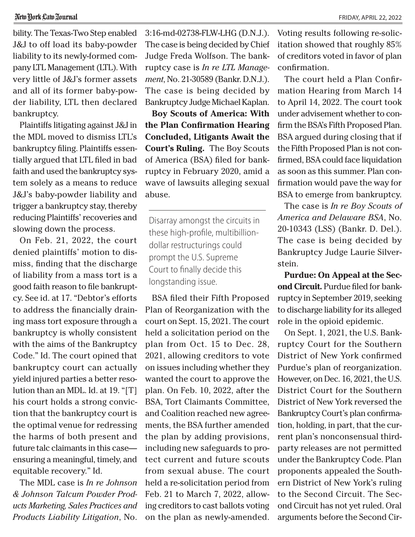bility. The Texas-Two Step enabled J&J to off load its baby-powder liability to its newly-formed company LTL Management (LTL). With very little of J&J's former assets and all of its former baby-powder liability, LTL then declared bankruptcy.

Plaintiffs litigating against J&J in the MDL moved to dismiss LTL's bankruptcy filing. Plaintiffs essentially argued that LTL filed in bad faith and used the bankruptcy system solely as a means to reduce J&J's baby-powder liability and trigger a bankruptcy stay, thereby reducing Plaintiffs' recoveries and slowing down the process.

On Feb. 21, 2022, the court denied plaintiffs' motion to dismiss, finding that the discharge of liability from a mass tort is a good faith reason to file bankruptcy. See id. at 17. "Debtor's efforts to address the financially draining mass tort exposure through a bankruptcy is wholly consistent with the aims of the Bankruptcy Code." Id. The court opined that bankruptcy court can actually yield injured parties a better resolution than an MDL. Id. at 19. "[T] his court holds a strong conviction that the bankruptcy court is the optimal venue for redressing the harms of both present and future talc claimants in this case ensuring a meaningful, timely, and equitable recovery." Id.

The MDL case is *In re Johnson & Johnson Talcum Powder Products Marketing, Sales Practices and Products Liability Litigation*, No.

3:16-md-02738-FLW-LHG (D.N.J.). The case is being decided by Chief Judge Freda Wolfson. The bankruptcy case is *In re LTL Management*, No. 21-30589 (Bankr. D.N.J.). The case is being decided by Bankruptcy Judge Michael Kaplan.

**Boy Scouts of America: With the Plan Confirmation Hearing Concluded, Litigants Await the Court's Ruling.** The Boy Scouts of America (BSA) filed for bankruptcy in February 2020, amid a wave of lawsuits alleging sexual abuse.

Disarray amongst the circuits in these high-profile, multibilliondollar restructurings could prompt the U.S. Supreme Court to finally decide this longstanding issue.

BSA filed their Fifth Proposed Plan of Reorganization with the court on Sept. 15, 2021. The court held a solicitation period on the plan from Oct. 15 to Dec. 28, 2021, allowing creditors to vote on issues including whether they wanted the court to approve the plan. On Feb. 10, 2022, after the BSA, Tort Claimants Committee, and Coalition reached new agreements, the BSA further amended the plan by adding provisions, including new safeguards to protect current and future scouts from sexual abuse. The court held a re-solicitation period from Feb. 21 to March 7, 2022, allowing creditors to cast ballots voting on the plan as newly-amended.

Voting results following re-solicitation showed that roughly 85% of creditors voted in favor of plan confirmation.

The court held a Plan Confirmation Hearing from March 14 to April 14, 2022. The court took under advisement whether to confirm the BSA's Fifth Proposed Plan. BSA argued during closing that if the Fifth Proposed Plan is not confirmed, BSA could face liquidation as soon as this summer. Plan confirmation would pave the way for BSA to emerge from bankruptcy.

The case is *In re Boy Scouts of America and Delaware BSA*, No. 20-10343 (LSS) (Bankr. D. Del.). The case is being decided by Bankruptcy Judge Laurie Silverstein.

**Purdue: On Appeal at the Second Circuit.** Purdue filed for bankruptcy in September 2019, seeking to discharge liability for its alleged role in the opioid epidemic.

On Sept. 1, 2021, the U.S. Bankruptcy Court for the Southern District of New York confirmed Purdue's plan of reorganization. However, on Dec. 16, 2021, the U.S. District Court for the Southern District of New York reversed the Bankruptcy Court's plan confirmation, holding, in part, that the current plan's nonconsensual thirdparty releases are not permitted under the Bankruptcy Code. Plan proponents appealed the Southern District of New York's ruling to the Second Circuit. The Second Circuit has not yet ruled. Oral arguments before the Second Cir-